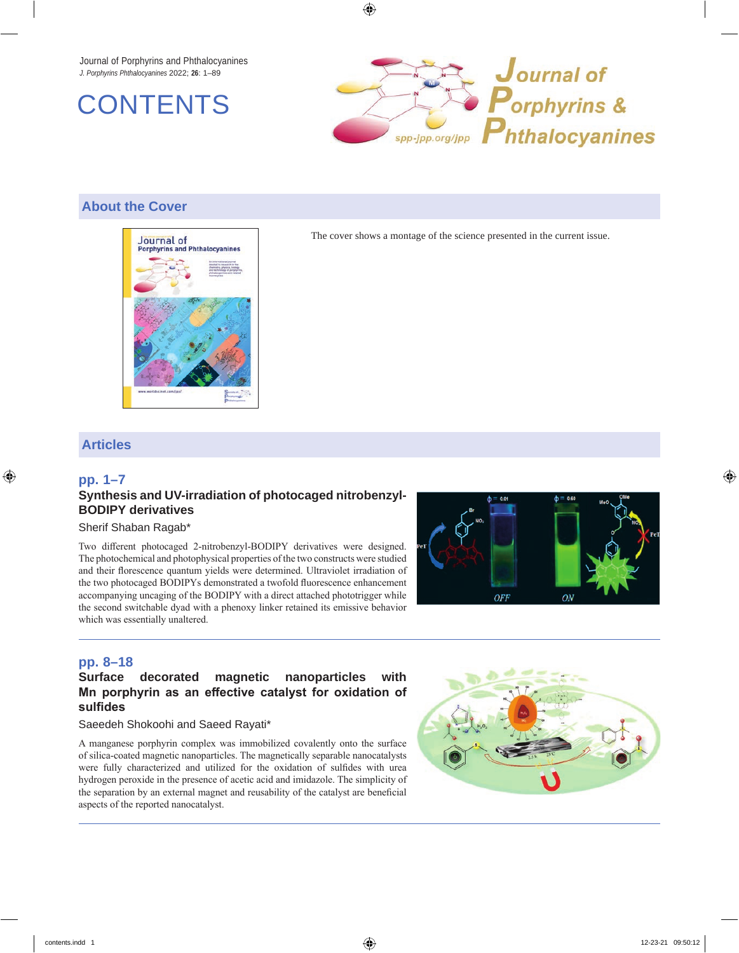Journal of Porphyrins and Phthalocyanines *J. Porphyrins Phthalocyanines* 2022; **26**: 1–89





## **About the Cover**



The cover shows a montage of the science presented in the current issue.

## **Articles**

#### **pp. 1–7**

## **Synthesis and UV-irradiation of photocaged nitrobenzyl-BODIPY derivatives**

#### Sherif Shaban Ragab\*

Two different photocaged 2-nitrobenzyl-BODIPY derivatives were designed. The photochemical and photophysical properties of the two constructs were studied and their florescence quantum yields were determined. Ultraviolet irradiation of the two photocaged BODIPYs demonstrated a twofold fluorescence enhancement accompanying uncaging of the BODIPY with a direct attached phototrigger while the second switchable dyad with a phenoxy linker retained its emissive behavior which was essentially unaltered.



## **pp. 8–18**

### **Surface decorated magnetic nanoparticles with Mn porphyrin as an effective catalyst for oxidation of sulfides**

#### Saeedeh Shokoohi and Saeed Rayati\*

A manganese porphyrin complex was immobilized covalently onto the surface of silica-coated magnetic nanoparticles. The magnetically separable nanocatalysts were fully characterized and utilized for the oxidation of sulfides with urea hydrogen peroxide in the presence of acetic acid and imidazole. The simplicity of the separation by an external magnet and reusability of the catalyst are beneficial aspects of the reported nanocatalyst.

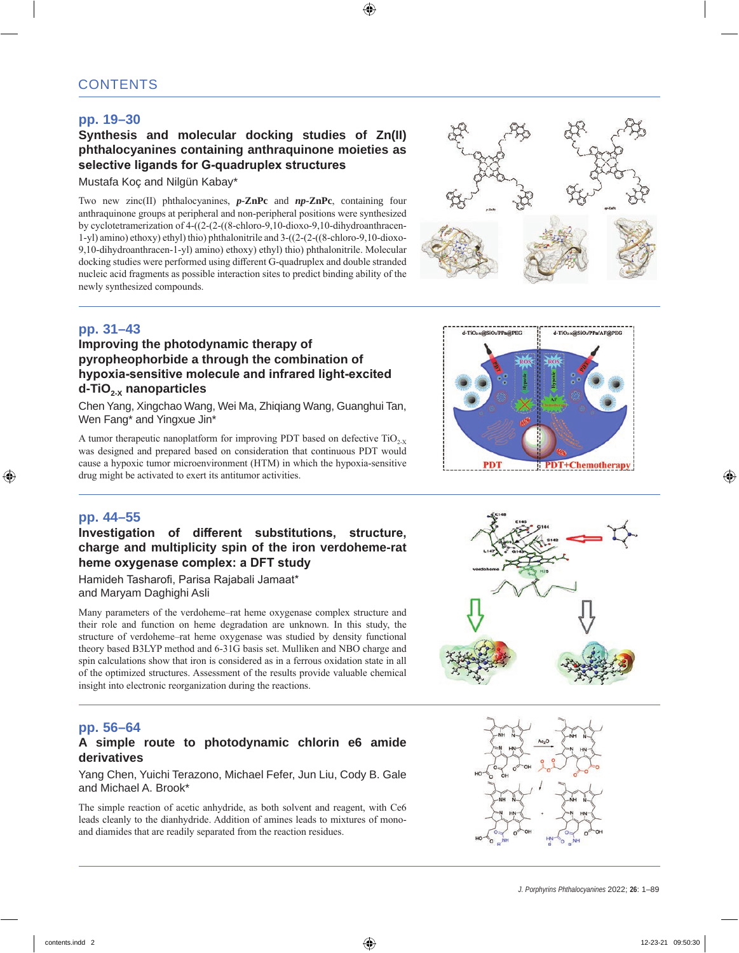# **pp. 19–30**

### **Synthesis and molecular docking studies of Zn(II) phthalocyanines containing anthraquinone moieties as selective ligands for G-quadruplex structures**

#### Mustafa Koç and Nilgün Kabay\*

Two new zinc(II) phthalocyanines, *p***-ZnPc** and *np***-ZnPc**, containing four anthraquinone groups at peripheral and non-peripheral positions were synthesized by cyclotetramerization of 4-((2-(2-((8-chloro-9,10-dioxo-9,10-dihydroanthracen-1-yl) amino) ethoxy) ethyl) thio) phthalonitrile and 3-((2-(2-((8-chloro-9,10-dioxo-9,10-dihydroanthracen-1-yl) amino) ethoxy) ethyl) thio) phthalonitrile. Molecular docking studies were performed using different G-quadruplex and double stranded nucleic acid fragments as possible interaction sites to predict binding ability of the newly synthesized compounds.



# **pp. 31–43**

### **Improving the photodynamic therapy of pyropheophorbide a through the combination of hypoxia-sensitive molecule and infrared light-excited**  d-TiO<sub>2-X</sub> nanoparticles

Chen Yang, Xingchao Wang, Wei Ma, Zhiqiang Wang, Guanghui Tan, Wen Fang\* and Yingxue Jin\*

A tumor therapeutic nanoplatform for improving PDT based on defective  $TiO<sub>2,X</sub>$ was designed and prepared based on consideration that continuous PDT would cause a hypoxic tumor microenvironment (HTM) in which the hypoxia-sensitive drug might be activated to exert its antitumor activities.



## **pp. 44–55**

## **Investigation of different substitutions, structure, charge and multiplicity spin of the iron verdoheme-rat heme oxygenase complex: a DFT study**

Hamideh Tasharofi, Parisa Rajabali Jamaat\* and Maryam Daghighi Asli

Many parameters of the verdoheme–rat heme oxygenase complex structure and their role and function on heme degradation are unknown. In this study, the structure of verdoheme–rat heme oxygenase was studied by density functional theory based B3LYP method and 6-31G basis set. Mulliken and NBO charge and spin calculations show that iron is considered as in a ferrous oxidation state in all of the optimized structures. Assessment of the results provide valuable chemical insight into electronic reorganization during the reactions.

## **pp. 56–64**

#### **A simple route to photodynamic chlorin e6 amide derivatives**

Yang Chen, Yuichi Terazono, Michael Fefer, Jun Liu, Cody B. Gale and Michael A. Brook\*

The simple reaction of acetic anhydride, as both solvent and reagent, with Ce6 leads cleanly to the dianhydride. Addition of amines leads to mixtures of monoand diamides that are readily separated from the reaction residues.